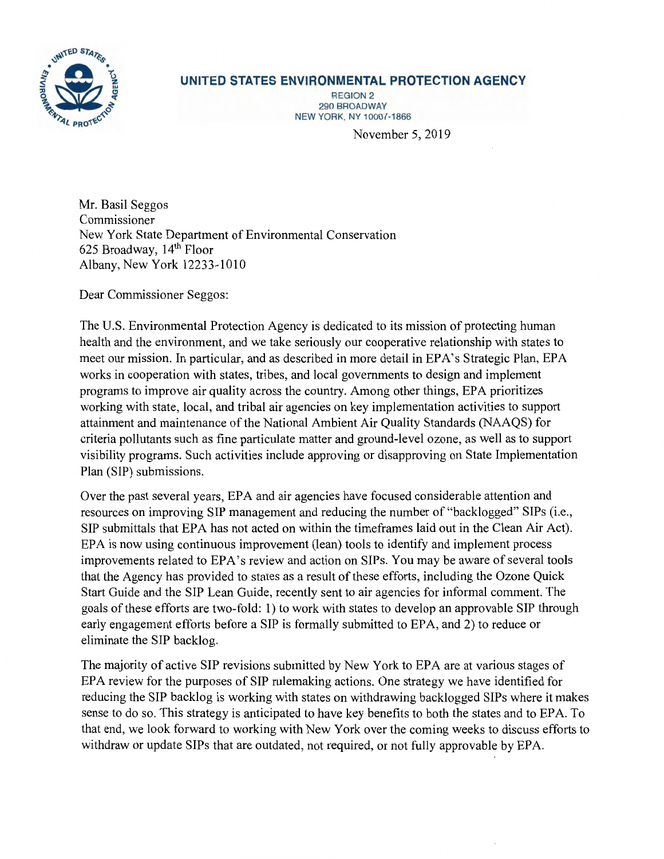

## **UNITED STATES ENVIRONMENTAL PROTECTION AGENCY**

REGION 2 290 BROADWAY NEW YORK, NY 10007-1866

November 5, 2019

Mr. Basil Seggos Commissioner New York State Department of Environmental Conservation 625 Broadway, 14th Floor Albany, New York 12233-1010

Dear Commissioner Seggos:

The U.S. Environmental Protection Agency is dedicated to its mission of protecting human health and the environment, and we take seriously our cooperative relationship with states to meet our mission. In particular, and as described in more detail in EPA's Strategic Plan, EPA works in cooperation with states, tribes, and local governments to design and implement programs to improve air quality across the country. Among other things, EPA prioritizes working with state, local, and tribal air agencies on key implementation activities to support attainment and maintenance of the National Ambient Air Quality Standards (NAAQS) for criteria pollutants such as fine particulate matter and ground-level ozone, as well as to support visibility programs. Such activities include approving or disapproving on State Implementation Plan (SIP) submissions.

Over the past several years, EPA and air agencies have focused considerable attention and resources on improving SIP management and reducing the number of "backlogged" SIPs (i.e., SIP submittals that EPA has not acted on within the timeframes laid out in the Clean Air Act). EPA is now using continuous improvement (lean) tools to identify and implement process improvements related to EPA's review and action on SIPs. You may be aware of several tools that the Agency has provided to states as a result of these efforts, including the Ozone Quick Start Guide and the SIP Lean Guide, recently sent to air agencies for informal comment. The goals of these efforts are two-fold: 1) to work with states to develop an approvable SIP through early engagement efforts before a SIP is formally submitted to EPA, and 2) to reduce or eliminate the SIP backlog.

The majority of active SIP revisions submitted by New York to EPA are at various stages of EPA review for the purposes of SIP rulemaking actions. One strategy we have identified for reducing the SIP backlog is working with states on withdrawing backlogged SIPs where it makes sense to do so. This strategy is anticipated to have key benefits to both the states and to EPA. To that end, we look forward to working with New York over the coming weeks to discuss efforts to withdraw or update SIPs that are outdated, not required, or not fully approvable by EPA.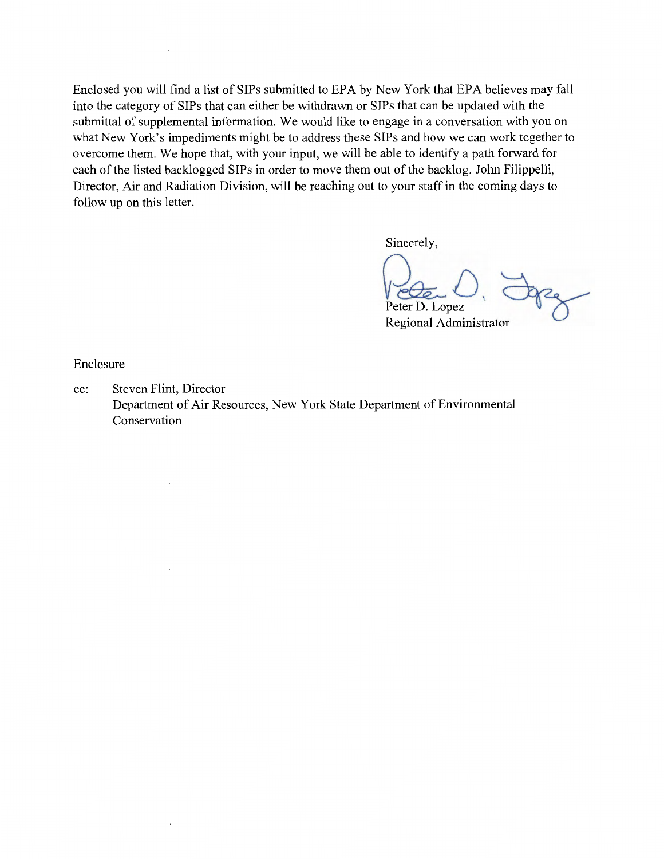Enclosed you will find a list of SIPs submitted to EPA by New York that EPA believes may fall into the category of SIPs that can either be withdrawn or SIPs that can be updated with the submittal of supplemental information. We would like to engage in a conversation with you on what New York's impediments might be to address these SIPs and how we can work together to overcome them. We hope that, with your input, we will be able to identify a path forward for each of the listed backlogged SIPs in order to move them out of the backlog. John Filippelli, Director, Air and Radiation Division, will be reaching out to your staff in the coming days to follow up on this letter.

Sincerely,

Pede ... D. Jopez Regional Administrator

Enclosure

 $\bar{z}$ 

cc: Steven Flint, Director Department of Air Resources, New York State Department of Environmental Conservation